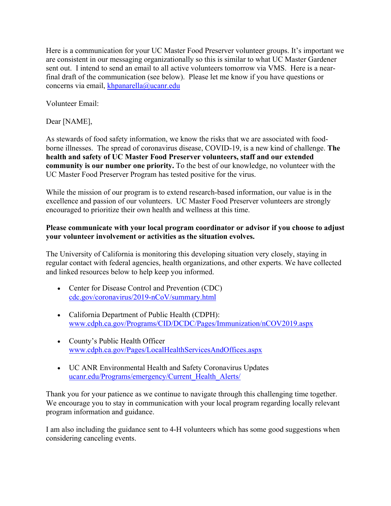Here is a communication for your UC Master Food Preserver volunteer groups. It's important we are consistent in our messaging organizationally so this is similar to what UC Master Gardener sent out. I intend to send an email to all active volunteers tomorrow via VMS. Here is a nearfinal draft of the communication (see below). Please let me know if you have questions or concerns via email, khpanarella@ucanr.edu

Volunteer Email:

Dear [NAME],

As stewards of food safety information, we know the risks that we are associated with foodborne illnesses. The spread of coronavirus disease, COVID-19, is a new kind of challenge. **The health and safety of UC Master Food Preserver volunteers, staff and our extended community is our number one priority.** To the best of our knowledge, no volunteer with the UC Master Food Preserver Program has tested positive for the virus.

While the mission of our program is to extend research-based information, our value is in the excellence and passion of our volunteers. UC Master Food Preserver volunteers are strongly encouraged to prioritize their own health and wellness at this time.

## **Please communicate with your local program coordinator or advisor if you choose to adjust your volunteer involvement or activities as the situation evolves.**

The University of California is monitoring this developing situation very closely, staying in regular contact with federal agencies, health organizations, and other experts. We have collected and linked resources below to help keep you informed.

- Center for Disease Control and Prevention (CDC) cdc.gov/coronavirus/2019-nCoV/summary.html
- California Department of Public Health (CDPH): www.cdph.ca.gov/Programs/CID/DCDC/Pages/Immunization/nCOV2019.aspx
- County's Public Health Officer www.cdph.ca.gov/Pages/LocalHealthServicesAndOffices.aspx
- UC ANR Environmental Health and Safety Coronavirus Updates ucanr.edu/Programs/emergency/Current\_Health\_Alerts/

Thank you for your patience as we continue to navigate through this challenging time together. We encourage you to stay in communication with your local program regarding locally relevant program information and guidance.

I am also including the guidance sent to 4-H volunteers which has some good suggestions when considering canceling events.